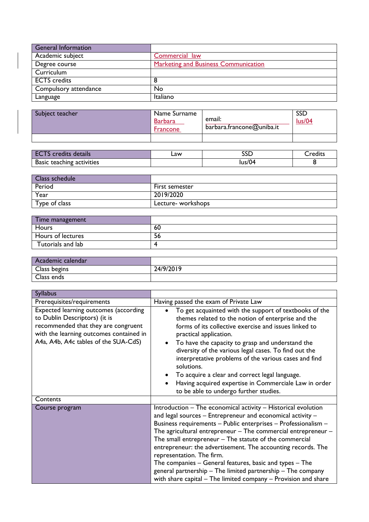| <b>General Information</b> |                                             |
|----------------------------|---------------------------------------------|
| Academic subject           | Commercial law                              |
| Degree course              | <b>Marketing and Business Communication</b> |
| Curriculum                 |                                             |
| <b>ECTS</b> credits        | 8                                           |
| Compulsory attendance      | No                                          |
| Language                   | Italiano                                    |

| Subject teacher | Name Surname<br><b>Barbara</b><br><b>Francone</b> | email:<br>barbara.francone@uniba.it | SSC<br>lus/04 |
|-----------------|---------------------------------------------------|-------------------------------------|---------------|
|                 |                                                   |                                     |               |

| details<br>.                           | ∟aw | ---<br>ーー            | rod<br>.<br>cult. |
|----------------------------------------|-----|----------------------|-------------------|
| <b>Basic</b><br>activities<br>teaching |     | $\sqrt{2}$<br>lus/04 |                   |

| Class schedule                    |                    |
|-----------------------------------|--------------------|
| Period                            | First semester     |
| Year                              | 2019/2020          |
| Type of $\overline{\text{class}}$ | Lecture- workshops |

| Time management   |    |
|-------------------|----|
| Hours             | 60 |
| Hours of lectures | 56 |
| Tutorials and lab |    |

| Academic calendar |           |
|-------------------|-----------|
| Class begins      | 24/9/2019 |
| Class ends        |           |

| <b>Syllabus</b>                                                                                                                                                                                  |                                                                                                                                                                                                                                                                                                                                                                                                                                                                                                                                                                                                                       |
|--------------------------------------------------------------------------------------------------------------------------------------------------------------------------------------------------|-----------------------------------------------------------------------------------------------------------------------------------------------------------------------------------------------------------------------------------------------------------------------------------------------------------------------------------------------------------------------------------------------------------------------------------------------------------------------------------------------------------------------------------------------------------------------------------------------------------------------|
| Prerequisites/requirements                                                                                                                                                                       | Having passed the exam of Private Law                                                                                                                                                                                                                                                                                                                                                                                                                                                                                                                                                                                 |
| Expected learning outcomes (according<br>to Dublin Descriptors) (it is<br>recommended that they are congruent<br>with the learning outcomes contained in<br>A4a, A4b, A4c tables of the SUA-CdS) | To get acquainted with the support of textbooks of the<br>themes related to the notion of enterprise and the<br>forms of its collective exercise and issues linked to<br>practical application.<br>To have the capacity to grasp and understand the<br>diversity of the various legal cases. To find out the<br>interpretative problems of the various cases and find<br>solutions.<br>To acquire a clear and correct legal language.<br>Having acquired expertise in Commerciale Law in order<br>to be able to undergo further studies.                                                                              |
| Contents                                                                                                                                                                                         |                                                                                                                                                                                                                                                                                                                                                                                                                                                                                                                                                                                                                       |
| Course program                                                                                                                                                                                   | Introduction - The economical activity - Historical evolution<br>and legal sources - Entrepreneur and economical activity -<br>Business requirements - Public enterprises - Professionalism -<br>The agricultural entrepreneur $-$ The commercial entrepreneur $-$<br>The small entrepreneur - The statute of the commercial<br>entrepreneur: the advertisement. The accounting records. The<br>representation. The firm.<br>The companies – General features, basic and types – The<br>general partnership - The limited partnership - The company<br>with share capital - The limited company - Provision and share |